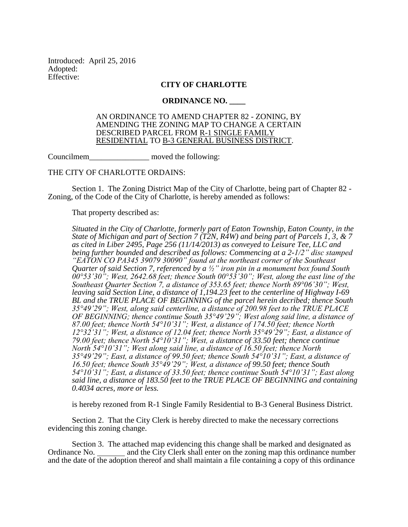Introduced: April 25, 2016 Adopted: Effective:

## **CITY OF CHARLOTTE**

## **ORDINANCE NO. \_\_\_\_**

## AN ORDINANCE TO AMEND CHAPTER 82 - ZONING, BY AMENDING THE ZONING MAP TO CHANGE A CERTAIN DESCRIBED PARCEL FROM R-1 SINGLE FAMILY RESIDENTIAL TO B-3 GENERAL BUSINESS DISTRICT.

Councilmem\_\_\_\_\_\_\_\_\_\_\_\_\_\_\_ moved the following:

## THE CITY OF CHARLOTTE ORDAINS:

Section 1. The Zoning District Map of the City of Charlotte, being part of Chapter 82 - Zoning, of the Code of the City of Charlotte, is hereby amended as follows:

That property described as:

*Situated in the City of Charlotte, formerly part of Eaton Township, Eaton County, in the State of Michigan and part of Section 7 (T2N, R4W) and being part of Parcels 1, 3, & 7 as cited in Liber 2495, Page 256 (11/14/2013) as conveyed to Leisure Tee, LLC and being further bounded and described as follows: Commencing at a 2-1/2" disc stamped "EATON CO PA345 39079 30090" found at the northeast corner of the Southeast Quarter of said Section 7, referenced by a ½" iron pin in a monument box found South*   $0.0^\circ$ 53'30"; West, 2642.68 feet; thence South  $0.0^\circ$ 53'30"; West, along the east line of the *Southeast Quarter Section 7, a distance of 353.65 feet; thence North 89°06'30"; West, leaving said Section Line, a distance of 1,194.23 feet to the centerline of Highway I-69 BL and the TRUE PLACE OF BEGINNING of the parcel herein decribed; thence South 35°49'29"; West, along said centerline, a distance of 200.98 feet to the TRUE PLACE OF BEGINNING; thence continue South 35°49'29"; West along said line, a distance of 87.00 feet; thence North 54°10'31"; West, a distance of 174.50 feet; thence North 12°32'31"; West, a distance of 12.04 feet; thence North 35°49'29"; East, a distance of 79.00 feet; thence North 54°10'31"; West, a distance of 33.50 feet; thence continue North 54°10'31"; West along said line, a distance of 16.50 feet; thence North 35°49'29"; East, a distance of 99.50 feet; thence South 54°10'31"; East, a distance of 16.50 feet; thence South 35°49'29"; West, a distance of 99.50 feet; thence South 54°10'31"; East, a distance of 33.50 feet; thence continue South 54°10'31"; East along said line, a distance of 183.50 feet to the TRUE PLACE OF BEGINNING and containing 0.4034 acres, more or less.*

is hereby rezoned from R-1 Single Family Residential to B-3 General Business District.

Section 2. That the City Clerk is hereby directed to make the necessary corrections evidencing this zoning change.

Section 3. The attached map evidencing this change shall be marked and designated as Ordinance No. and the City Clerk shall enter on the zoning map this ordinance number and the City Clerk shall enter on the zoning map this ordinance number and the date of the adoption thereof and shall maintain a file containing a copy of this ordinance